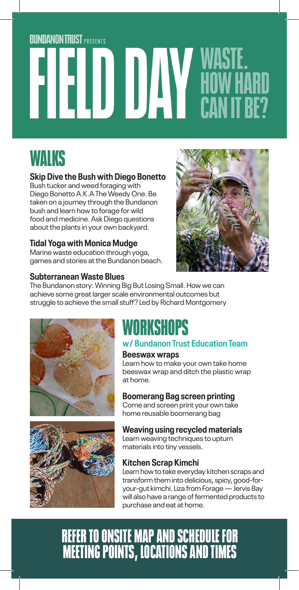# **BUNDANON TRUST PRESENTS ELELD DAY WASIL.<br>CAN IT BE?**

### WALKS

### **Skip Dive the Bush with Diego Bonetto**

Bush tucker and weed foraging with Diego Bonetto A.K.A The Weedy One. Be taken on a journey through the Bundanon bush and learn how to forage for wild food and medicine. Ask Diego questions about the plants in your own backyard.

### **Tidal Yoga with Monica Mudge**

Marine waste education through yoga, games and stories at the Bundanon beach.

#### **Subterranean Waste Blues**



The Bundanon story: Winning Big But Losing Small. How we can achieve some great larger scale environmental outcomes but struggle to achieve the small stuff? Led by Richard Montgomery





### WORKSHOPS

### **w/ Bundanon Trust Education Team**

#### **Beeswax wraps**

Learn how to make your own take home beeswax wrap and ditch the plastic wrap at home.

### **Boomerang Bag screen printing**

Come and screen print your own take home reusable boomerang bag

### **Weaving using recycled materials**

Learn weaving techniques to upturn materials into tiny vessels.

### **Kitchen Scrap Kimchi**

Learn how to take everyday kitchen scraps and transform them into delicious, spicy, good-foryour-gut kimchi. Liza from Forage — Jervis Bay will also have a range of fermented products to purchase and eat at home.

### REFER TO ONSITE MAP AND SCHEDULE FOR MEETING POINTS, LOCATIONS AND TIMES